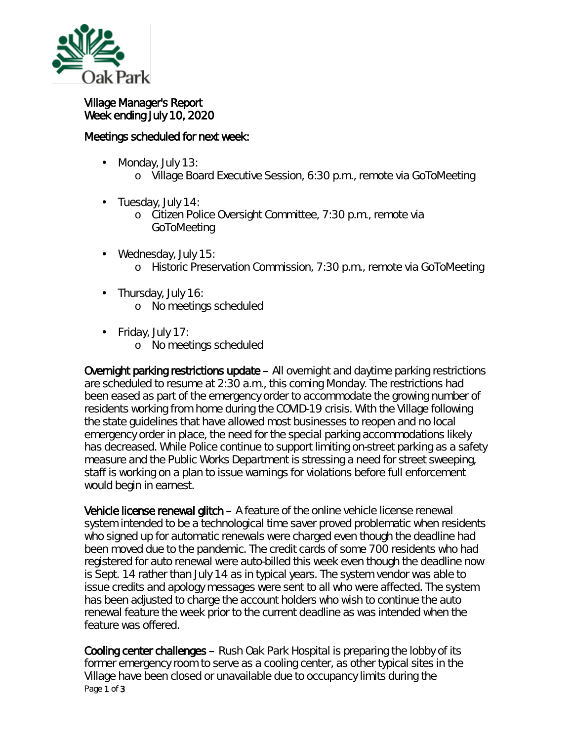

## Village Manager's Report Week ending July 10, 2020

## Meetings scheduled for next week:

- Monday, July 13: ä,
	- o Village Board Executive Session, 6:30 p.m., remote via GoToMeeting
- ä, Tuesday, July 14:
	- o Citizen Police Oversight Committee, 7:30 p.m., remote via GoToMeeting
- Wednesday, July 15: ä, o Historic Preservation Commission, 7:30 p.m., remote via GoToMeeting
- . Thursday, July 16:
	- o No meetings scheduled
- Friday, July 17:
	- o No meetings scheduled

Overnight parking restrictions update – All overnight and daytime parking restrictions are scheduled to resume at 2:30 a.m., this coming Monday. The restrictions had been eased as part of the emergency order to accommodate the growing number of residents working from home during the COVID-19 crisis. With the Village following the state guidelines that have allowed most businesses to reopen and no local emergency order in place, the need for the special parking accommodations likely has decreased. While Police continue to support limiting on-street parking as a safety measure and the Public Works Department is stressing a need for street sweeping, staff is working on a plan to issue warnings for violations before full enforcement would begin in earnest.

Vehicle license renewal glitch – A feature of the online vehicle license renewal system intended to be a technological time saver proved problematic when residents who signed up for automatic renewals were charged even though the deadline had been moved due to the pandemic. The credit cards of some 700 residents who had registered for auto renewal were auto-billed this week even though the deadline now is Sept. 14 rather than July 14 as in typical years. The system vendor was able to issue credits and apology messages were sent to all who were affected. The system has been adjusted to charge the account holders who wish to continue the auto renewal feature the week prior to the current deadline as was intended when the feature was offered.

Page 1 of 3 Cooling center challenges – Rush Oak Park Hospital is preparing the lobby of its former emergency room to serve as a cooling center, as other typical sites in the Village have been closed or unavailable due to occupancy limits during the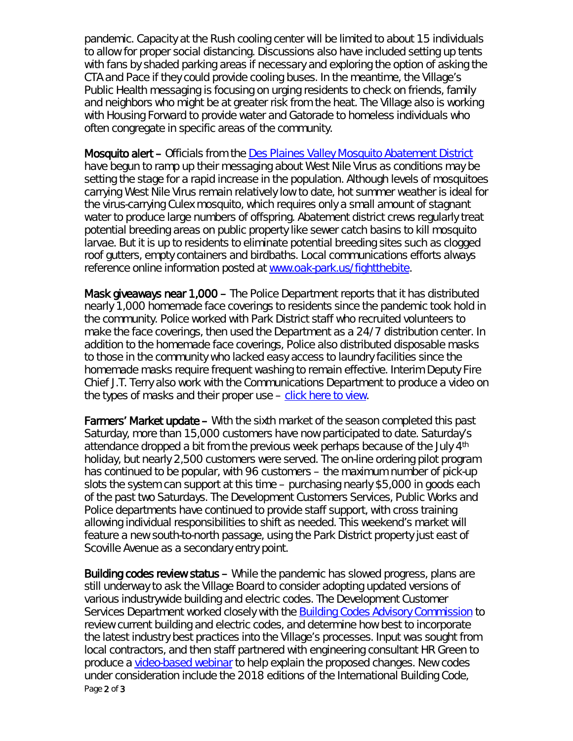pandemic. Capacity at the Rush cooling center will be limited to about 15 individuals to allow for proper social distancing. Discussions also have included setting up tents with fans by shaded parking areas if necessary and exploring the option of asking the CTA and Pace if they could provide cooling buses. In the meantime, the Village's Public Health messaging is focusing on urging residents to check on friends, family and neighbors who might be at greater risk from the heat. The Village also is working with Housing Forward to provide water and Gatorade to homeless individuals who often congregate in specific areas of the community.

Mosquito alert - Officials from the **Des Plaines Valley Mosquito Abatement District** have begun to ramp up their messaging about West Nile Virus as conditions may be setting the stage for a rapid increase in the population. Although levels of mosquitoes carrying West Nile Virus remain relatively low to date, hot summer weather is ideal for the virus-carrying Culex mosquito, which requires only a small amount of stagnant water to produce large numbers of offspring. Abatement district crews regularly treat potential breeding areas on public property like sewer catch basins to kill mosquito larvae. But it is up to residents to eliminate potential breeding sites such as clogged roof gutters, empty containers and birdbaths. Local communications efforts always reference online information posted at [www.oak-park.us/fightthebite.](http://www.oak-park.us/fightthebite)

Mask giveaways near 1,000 – The Police Department reports that it has distributed nearly 1,000 homemade face coverings to residents since the pandemic took hold in the community. Police worked with Park District staff who recruited volunteers to make the face coverings, then used the Department as a 24/7 distribution center. In addition to the homemade face coverings, Police also distributed disposable masks to those in the community who lacked easy access to laundry facilities since the homemade masks require frequent washing to remain effective. Interim Deputy Fire Chief J.T. Terry also work with the Communications Department to produce a video on the types of masks and their proper use – [click here to view.](https://youtu.be/D7dCaX6wigg)

Farmers' Market update – With the sixth market of the season completed this past Saturday, more than 15,000 customers have now participated to date. Saturday's attendance dropped a bit from the previous week perhaps because of the July 4<sup>th</sup> holiday, but nearly 2,500 customers were served. The on-line ordering pilot program has continued to be popular, with 96 customers – the maximum number of pick-up slots the system can support at this time – purchasing nearly \$5,000 in goods each of the past two Saturdays. The Development Customers Services, Public Works and Police departments have continued to provide staff support, with cross training allowing individual responsibilities to shift as needed. This weekend's market will feature a new south-to-north passage, using the Park District property just east of Scoville Avenue as a secondary entry point.

Page 2 of 3 Building codes review status – While the pandemic has slowed progress, plans are still underway to ask the Village Board to consider adopting updated versions of various industrywide building and electric codes. The Development Customer Services Department worked closely with the **Building Codes Advisory Commission** to review current building and electric codes, and determine how best to incorporate the latest industry best practices into the Village's processes. Input was sought from local contractors, and then staff partnered with engineering consultant HR Green to produce a [video-based webinar](https://www.oak-park.us/village-services/buildings-construction/buildingelectric-code-review-update-training) to help explain the proposed changes. New codes under consideration include the 2018 editions of the International Building Code,